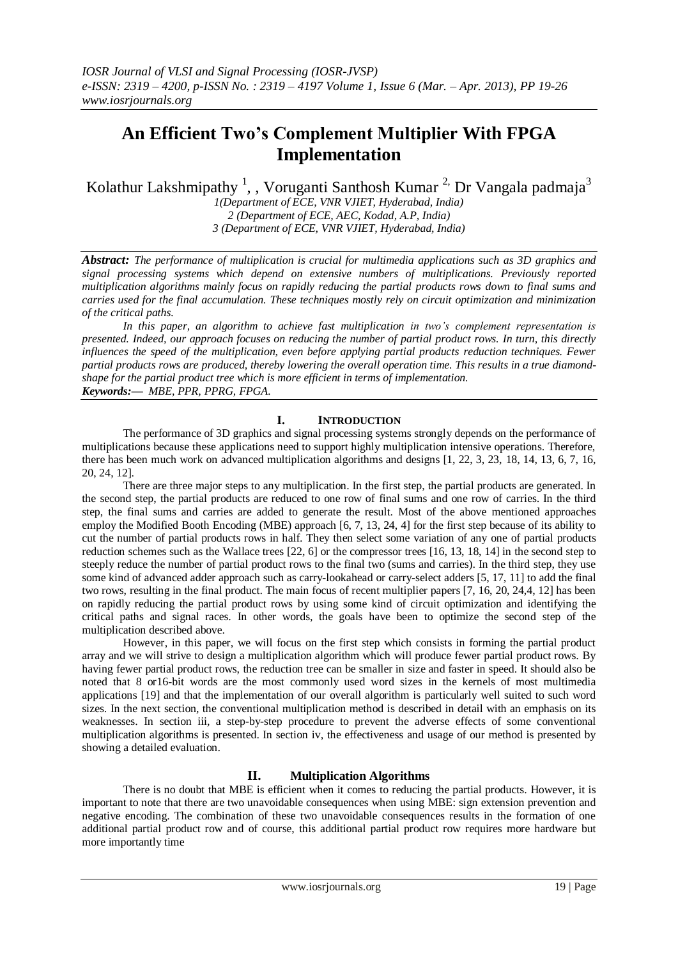# **An Efficient Two's Complement Multiplier With FPGA Implementation**

Kolathur Lakshmipathy<sup>1</sup>, , Voruganti Santhosh Kumar<sup>2,</sup> Dr Vangala padmaja<sup>3</sup>

*1(Department of ECE, VNR VJIET, Hyderabad, India) 2 (Department of ECE, AEC, Kodad, A.P, India) 3 (Department of ECE, VNR VJIET, Hyderabad, India)*

*Abstract: The performance of multiplication is crucial for multimedia applications such as 3D graphics and signal processing systems which depend on extensive numbers of multiplications. Previously reported multiplication algorithms mainly focus on rapidly reducing the partial products rows down to final sums and carries used for the final accumulation. These techniques mostly rely on circuit optimization and minimization of the critical paths.*

*In this paper, an algorithm to achieve fast multiplication in two's complement representation is presented. Indeed, our approach focuses on reducing the number of partial product rows. In turn, this directly influences the speed of the multiplication, even before applying partial products reduction techniques. Fewer partial products rows are produced, thereby lowering the overall operation time. This results in a true diamondshape for the partial product tree which is more efficient in terms of implementation. Keywords:— MBE, PPR, PPRG, FPGA.*

# **I. INTRODUCTION**

The performance of 3D graphics and signal processing systems strongly depends on the performance of multiplications because these applications need to support highly multiplication intensive operations. Therefore, there has been much work on advanced multiplication algorithms and designs [1, 22, 3, 23, 18, 14, 13, 6, 7, 16, 20, 24, 12].

There are three major steps to any multiplication. In the first step, the partial products are generated. In the second step, the partial products are reduced to one row of final sums and one row of carries. In the third step, the final sums and carries are added to generate the result. Most of the above mentioned approaches employ the Modified Booth Encoding (MBE) approach [6, 7, 13, 24, 4] for the first step because of its ability to cut the number of partial products rows in half. They then select some variation of any one of partial products reduction schemes such as the Wallace trees [22, 6] or the compressor trees [16, 13, 18, 14] in the second step to steeply reduce the number of partial product rows to the final two (sums and carries). In the third step, they use some kind of advanced adder approach such as carry-lookahead or carry-select adders [5, 17, 11] to add the final two rows, resulting in the final product. The main focus of recent multiplier papers [7, 16, 20, 24,4, 12] has been on rapidly reducing the partial product rows by using some kind of circuit optimization and identifying the critical paths and signal races. In other words, the goals have been to optimize the second step of the multiplication described above.

However, in this paper, we will focus on the first step which consists in forming the partial product array and we will strive to design a multiplication algorithm which will produce fewer partial product rows. By having fewer partial product rows, the reduction tree can be smaller in size and faster in speed. It should also be noted that 8 or16-bit words are the most commonly used word sizes in the kernels of most multimedia applications [19] and that the implementation of our overall algorithm is particularly well suited to such word sizes. In the next section, the conventional multiplication method is described in detail with an emphasis on its weaknesses. In section iii, a step-by-step procedure to prevent the adverse effects of some conventional multiplication algorithms is presented. In section iv, the effectiveness and usage of our method is presented by showing a detailed evaluation.

# **II. Multiplication Algorithms**

There is no doubt that MBE is efficient when it comes to reducing the partial products. However, it is important to note that there are two unavoidable consequences when using MBE: sign extension prevention and negative encoding. The combination of these two unavoidable consequences results in the formation of one additional partial product row and of course, this additional partial product row requires more hardware but more importantly time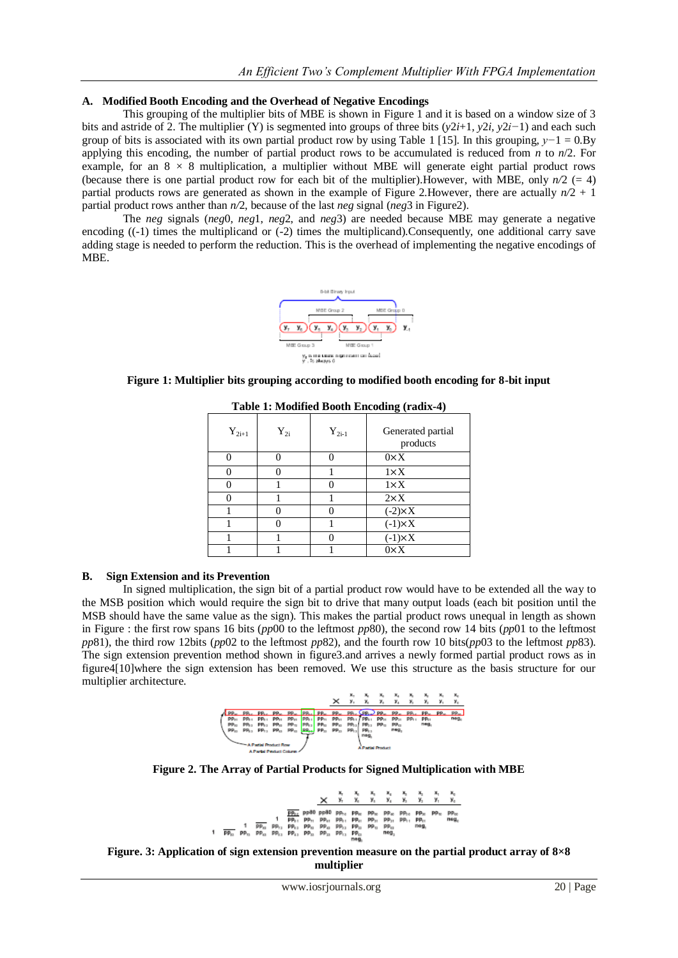#### **A. Modified Booth Encoding and the Overhead of Negative Encodings**

This grouping of the multiplier bits of MBE is shown in Figure  $\overline{1}$  and it is based on a window size of 3 bits and astride of 2. The multiplier (Y) is segmented into groups of three bits (*y*2*i*+1*, y*2*i, y*2*i−*1) and each such group of bits is associated with its own partial product row by using Table 1 [15]. In this grouping, *y−*1 = 0.By applying this encoding, the number of partial product rows to be accumulated is reduced from *n* to *n*/2. For example, for an  $8 \times 8$  multiplication, a multiplier without MBE will generate eight partial product rows (because there is one partial product row for each bit of the multiplier). However, with MBE, only  $n/2$  (= 4) partial products rows are generated as shown in the example of Figure 2. However, there are actually  $n/2 + 1$ partial product rows anther than *n/*2, because of the last *neg* signal (*neg*3 in Figure2).

The *neg* signals (*neg*0, *neg*1, *neg*2, and *neg*3) are needed because MBE may generate a negative encoding ((-1) times the multiplicand or (-2) times the multiplicand).Consequently, one additional carry save adding stage is needed to perform the reduction. This is the overhead of implementing the negative encodings of MBE.



### **Figure 1: Multiplier bits grouping according to modified booth encoding for 8-bit input**

| $Y_{2i+1}$ | $Y_{2i}$ | $Y_{2i-1}$ | Generated partial<br>products         |
|------------|----------|------------|---------------------------------------|
|            |          |            | $0\times X$                           |
|            |          |            | $1 \times X$                          |
|            |          |            | $1\times X$                           |
|            |          |            | $2\times X$                           |
|            |          |            | $\frac{(-2) \times X}{(-1) \times X}$ |
|            |          |            |                                       |
|            |          |            | $(-1) \times X$                       |
|            |          |            | $0\times X$                           |

#### **Table 1: Modified Booth Encoding (radix-4)**

## **B. Sign Extension and its Prevention**

In signed multiplication, the sign bit of a partial product row would have to be extended all the way to the MSB position which would require the sign bit to drive that many output loads (each bit position until the MSB should have the same value as the sign). This makes the partial product rows unequal in length as shown in Figure : the first row spans 16 bits (*pp*00 to the leftmost *pp*80), the second row 14 bits (*pp*01 to the leftmost *pp*81), the third row 12bits (*pp*02 to the leftmost *pp*82), and the fourth row 10 bits(*pp*03 to the leftmost *pp*83). The sign extension prevention method shown in figure3.and arrives a newly formed partial product rows as in figure4[10]where the sign extension has been removed. We use this structure as the basis structure for our multiplier architecture.



#### **Figure 2. The Array of Partial Products for Signed Multiplication with MBE**

|                                                                                                      |                                                                                      |  |  |      | $y_{n}$ |      |      | <b>x, x, x, x, x, x,</b><br>y, y, y, y, y, |
|------------------------------------------------------------------------------------------------------|--------------------------------------------------------------------------------------|--|--|------|---------|------|------|--------------------------------------------|
| $\overline{PP_{11}}$ $PP_{21}$ $PP_{12}$ $PP_{13}$ $PP_{13}$ $PP_{21}$ $PP_{22}$ $PP_{13}$ $PP_{15}$ | $pp_{11}$ pp., $pp_{12}$ pp., $pp_{11}$ pp., $pp_{21}$ pp., $pp_{12}$ pp., $pp_{13}$ |  |  | mag. |         | neg, | meg. | neg.                                       |

## **Figure. 3: Application of sign extension prevention measure on the partial product array of 8×8 multiplier**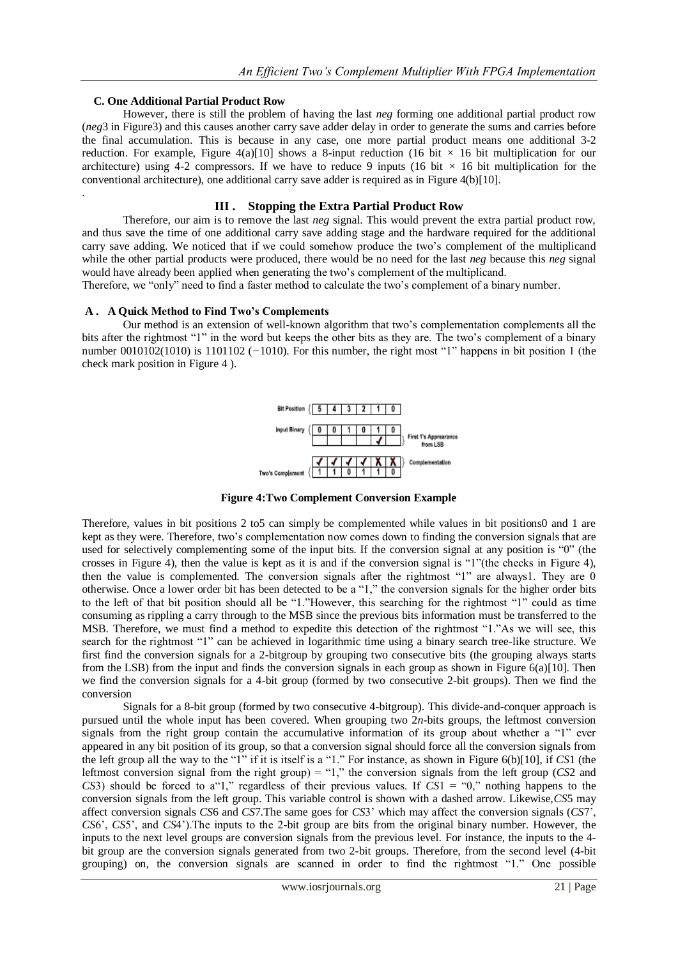## **C. One Additional Partial Product Row**

.

However, there is still the problem of having the last *neg* forming one additional partial product row (*neg*3 in Figure3) and this causes another carry save adder delay in order to generate the sums and carries before the final accumulation. This is because in any case, one more partial product means one additional 3-2 reduction. For example, Figure 4(a)[10] shows a 8-input reduction (16 bit  $\times$  16 bit multiplication for our architecture) using 4-2 compressors. If we have to reduce 9 inputs (16 bit  $\times$  16 bit multiplication for the conventional architecture), one additional carry save adder is required as in Figure 4(b)[10].

# **III . Stopping the Extra Partial Product Row**

Therefore, our aim is to remove the last *neg* signal. This would prevent the extra partial product row, and thus save the time of one additional carry save adding stage and the hardware required for the additional carry save adding. We noticed that if we could somehow produce the two's complement of the multiplicand while the other partial products were produced, there would be no need for the last *neg* because this *neg* signal would have already been applied when generating the two's complement of the multiplicand.

Therefore, we "only" need to find a faster method to calculate the two's complement of a binary number.

# **A . A Quick Method to Find Two's Complements**

Our method is an extension of well-known algorithm that two's complementation complements all the bits after the rightmost "1" in the word but keeps the other bits as they are. The two's complement of a binary number 0010102(1010) is 1101102 (*−*1010). For this number, the right most "1" happens in bit position 1 (the check mark position in Figure 4 ).



**Figure 4:Two Complement Conversion Example**

Therefore, values in bit positions 2 to5 can simply be complemented while values in bit positions0 and 1 are kept as they were. Therefore, two's complementation now comes down to finding the conversion signals that are used for selectively complementing some of the input bits. If the conversion signal at any position is "0" (the crosses in Figure 4), then the value is kept as it is and if the conversion signal is "1"(the checks in Figure 4), then the value is complemented. The conversion signals after the rightmost "1" are always1. They are 0 otherwise. Once a lower order bit has been detected to be a "1," the conversion signals for the higher order bits to the left of that bit position should all be "1."However, this searching for the rightmost "1" could as time consuming as rippling a carry through to the MSB since the previous bits information must be transferred to the MSB. Therefore, we must find a method to expedite this detection of the rightmost "1."As we will see, this search for the rightmost "1" can be achieved in logarithmic time using a binary search tree-like structure. We first find the conversion signals for a 2-bitgroup by grouping two consecutive bits (the grouping always starts from the LSB) from the input and finds the conversion signals in each group as shown in Figure 6(a)[10]. Then we find the conversion signals for a 4-bit group (formed by two consecutive 2-bit groups). Then we find the conversion

Signals for a 8-bit group (formed by two consecutive 4-bitgroup). This divide-and-conquer approach is pursued until the whole input has been covered. When grouping two 2*n*-bits groups, the leftmost conversion signals from the right group contain the accumulative information of its group about whether a "1" ever appeared in any bit position of its group, so that a conversion signal should force all the conversion signals from the left group all the way to the "1" if it is itself is a "1." For instance, as shown in Figure 6(b)[10], if *CS*1 (the leftmost conversion signal from the right group) = "1," the conversion signals from the left group (*CS*2 and *CS*3) should be forced to a <sup>"1</sup>," regardless of their previous values. If *CS*1 = "0," nothing happens to the conversion signals from the left group. This variable control is shown with a dashed arrow. Likewise,*CS*5 may affect conversion signals *CS*6 and *CS*7.The same goes for *CS*3' which may affect the conversion signals (*CS*7', *CS*6', *CS*5', and *CS*4').The inputs to the 2-bit group are bits from the original binary number. However, the inputs to the next level groups are conversion signals from the previous level. For instance, the inputs to the 4 bit group are the conversion signals generated from two 2-bit groups. Therefore, from the second level (4-bit grouping) on, the conversion signals are scanned in order to find the rightmost "1." One possible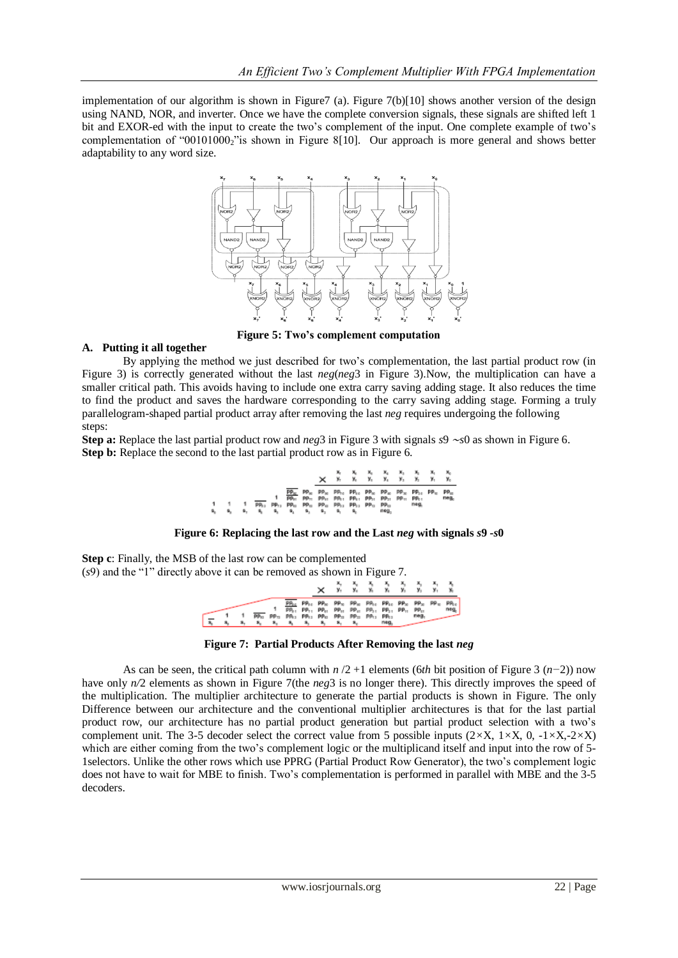implementation of our algorithm is shown in Figure  $(2)$ . Figure  $7(b)[10]$  shows another version of the design using NAND, NOR, and inverter. Once we have the complete conversion signals, these signals are shifted left 1 bit and EXOR-ed with the input to create the two's complement of the input. One complete example of two's complementation of "00101000 $\delta$ " is shown in Figure 8[10]. Our approach is more general and shows better adaptability to any word size.



**Figure 5: Two's complement computation**

# **A. Putting it all together**

By applying the method we just described for two's complementation, the last partial product row (in Figure 3) is correctly generated without the last *neg*(*neg*3 in Figure 3).Now, the multiplication can have a smaller critical path. This avoids having to include one extra carry saving adding stage. It also reduces the time to find the product and saves the hardware corresponding to the carry saving adding stage. Forming a truly parallelogram-shaped partial product array after removing the last *neg* requires undergoing the following steps:

**Step a:** Replace the last partial product row and *neg*3 in Figure 3 with signals *s*9 ∼*s*0 as shown in Figure 6. **Step b:** Replace the second to the last partial product row as in Figure 6.

|    |    |                                                                                                                                                          |                   |  |  |      |      | <b>х, х, х, х, х, х,</b><br><b>Х</b> К К У, У, К К К                                                                                                |
|----|----|----------------------------------------------------------------------------------------------------------------------------------------------------------|-------------------|--|--|------|------|-----------------------------------------------------------------------------------------------------------------------------------------------------|
| я, | s, | PR <sub>13</sub> PP <sub>13</sub> PP <sub>13</sub> PP <sub>13</sub> PP <sub>13</sub> PP <sub>13</sub> PP <sub>13</sub> PP <sub>13</sub> PP <sub>13</sub> | 5, 5, 5, 5, 5, 5, |  |  | neg. | neg, | $pp_{\infty}$ $pp_{\infty}$ $pp_{\infty}$ $pp_{\infty}$ $pp_{\infty}$ $pp_{\infty}$ $pp_{\infty}$ $pp_{\infty}$ $pp_{\infty}$ $pp_{\infty}$<br>neg, |

#### **Figure 6: Replacing the last row and the Last** *neg* **with signals** *s***9** *-s***0**

**Step c**: Finally, the MSB of the last row can be complemented (*s*9) and the "1" directly above it can be removed as shown in Figure 7.

|                                             |                                                                                                                                                                                                                                                                       |  |  | у, |      |      |
|---------------------------------------------|-----------------------------------------------------------------------------------------------------------------------------------------------------------------------------------------------------------------------------------------------------------------------|--|--|----|------|------|
| PP. PP. PA: PA: PP. PP. PP. PP. PP. PP. PA: | $pp_{10}$ $pp_{10}$ $pp_{20}$ $pp_{40}$ $pp_{10}$ $pp_{10}$ $pp_{20}$ $pp_{20}$ $pp_{30}$ $pp_{40}$<br>рр <sub>ат</sub> рр <sub>ат</sub> рр <sub>ат</sub> рр <sub>ат</sub> рр <sub>ат</sub> рр <sub>ат</sub> рр <sub>ат</sub> рр <sub>ат</sub> рр <sub>от</sub><br>я. |  |  |    | neg. | neg. |

**Figure 7: Partial Products After Removing the last** *neg*

As can be seen, the critical path column with *n* /2 +1 elements (6*th* bit position of Figure 3 (*n−*2)) now have only  $n/2$  elements as shown in Figure 7(the *neg*3 is no longer there). This directly improves the speed of the multiplication. The multiplier architecture to generate the partial products is shown in Figure. The only Difference between our architecture and the conventional multiplier architectures is that for the last partial product row, our architecture has no partial product generation but partial product selection with a two's complement unit. The 3-5 decoder select the correct value from 5 possible inputs ( $2 \times X$ ,  $1 \times X$ ,  $0$ ,  $-1 \times X$ ,  $-2 \times X$ ) which are either coming from the two's complement logic or the multiplicand itself and input into the row of 5-1selectors. Unlike the other rows which use PPRG (Partial Product Row Generator), the two's complement logic does not have to wait for MBE to finish. Two's complementation is performed in parallel with MBE and the 3-5 decoders.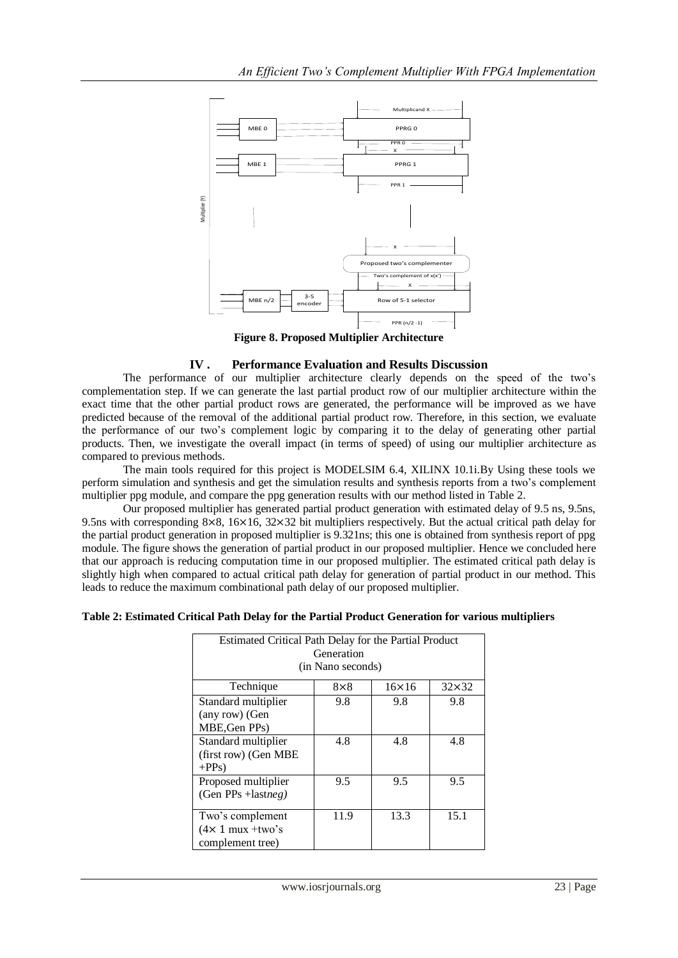

**Figure 8. Proposed Multiplier Architecture**

# **IV . Performance Evaluation and Results Discussion**

The performance of our multiplier architecture clearly depends on the speed of the two's complementation step. If we can generate the last partial product row of our multiplier architecture within the exact time that the other partial product rows are generated, the performance will be improved as we have predicted because of the removal of the additional partial product row. Therefore, in this section, we evaluate the performance of our two's complement logic by comparing it to the delay of generating other partial products. Then, we investigate the overall impact (in terms of speed) of using our multiplier architecture as compared to previous methods.

The main tools required for this project is MODELSIM 6.4, XILINX 10.1i.By Using these tools we perform simulation and synthesis and get the simulation results and synthesis reports from a two's complement multiplier ppg module, and compare the ppg generation results with our method listed in Table 2.

Our proposed multiplier has generated partial product generation with estimated delay of 9.5 ns, 9.5ns, 9.5ns with corresponding 8×8, 16×16, 32×32 bit multipliers respectively. But the actual critical path delay for the partial product generation in proposed multiplier is 9.321ns; this one is obtained from synthesis report of ppg module. The figure shows the generation of partial product in our proposed multiplier. Hence we concluded here that our approach is reducing computation time in our proposed multiplier. The estimated critical path delay is slightly high when compared to actual critical path delay for generation of partial product in our method. This leads to reduce the maximum combinational path delay of our proposed multiplier.

## **Table 2: Estimated Critical Path Delay for the Partial Product Generation for various multipliers**

|                | MBE 0                                                                                                                                                                          |                      | PPRG 0                                                            |              |           |
|----------------|--------------------------------------------------------------------------------------------------------------------------------------------------------------------------------|----------------------|-------------------------------------------------------------------|--------------|-----------|
|                |                                                                                                                                                                                |                      | PPR <sub>0</sub>                                                  |              |           |
|                | MBE <sub>1</sub>                                                                                                                                                               |                      | PPRG 1                                                            |              |           |
|                |                                                                                                                                                                                |                      | PPR <sub>1</sub>                                                  |              |           |
| Aultiplier (Y) |                                                                                                                                                                                |                      |                                                                   |              |           |
|                |                                                                                                                                                                                |                      |                                                                   |              |           |
|                |                                                                                                                                                                                |                      |                                                                   |              |           |
|                |                                                                                                                                                                                |                      | Proposed two's complementer                                       |              |           |
|                |                                                                                                                                                                                |                      | Two's complement of x(x')                                         |              |           |
|                | MBE n/2                                                                                                                                                                        | $3 - 5$              | Row of 5-1 selector                                               |              |           |
|                |                                                                                                                                                                                | encoder              |                                                                   |              |           |
|                |                                                                                                                                                                                |                      | PPR (n/2 -1)<br><b>Figure 8. Proposed Multiplier Architecture</b> |              |           |
|                |                                                                                                                                                                                |                      |                                                                   |              |           |
| $\bf V$ .      |                                                                                                                                                                                |                      | <b>Performance Evaluation and Results Discussion</b>              |              |           |
|                | nce of our multiplier architecture clearly depends on the speed of the two's                                                                                                   |                      |                                                                   |              |           |
|                | f we can generate the last partial product row of our multiplier architecture within the<br>er partial product rows are generated, the performance will be improved as we have |                      |                                                                   |              |           |
|                | e removal of the additional partial product row. Therefore, in this section, we evaluate                                                                                       |                      |                                                                   |              |           |
|                | two's complement logic by comparing it to the delay of generating other partial                                                                                                |                      |                                                                   |              |           |
|                | estigate the overall impact (in terms of speed) of using our multiplier architecture as                                                                                        |                      |                                                                   |              |           |
| ethods.        |                                                                                                                                                                                |                      |                                                                   |              |           |
|                | required for this project is MODELSIM 6.4, XILINX 10.1i.By Using these tools we                                                                                                |                      |                                                                   |              |           |
|                | synthesis and get the simulation results and synthesis reports from a two's complement<br>and compare the ppg generation results with our method listed in Table 2.            |                      |                                                                   |              |           |
|                | nultiplier has generated partial product generation with estimated delay of 9.5 ns, 9.5ns,                                                                                     |                      |                                                                   |              |           |
|                | g 8×8, 16×16, 32×32 bit multipliers respectively. But the actual critical path delay for                                                                                       |                      |                                                                   |              |           |
|                | ation in proposed multiplier is 9.321ns; this one is obtained from synthesis report of ppg                                                                                     |                      |                                                                   |              |           |
|                | vs the generation of partial product in our proposed multiplier. Hence we concluded here                                                                                       |                      |                                                                   |              |           |
|                | ucing computation time in our proposed multiplier. The estimated critical path delay is                                                                                        |                      |                                                                   |              |           |
|                | pared to actual critical path delay for generation of partial product in our method. This<br>mum combinational path delay of our proposed multiplier.                          |                      |                                                                   |              |           |
|                |                                                                                                                                                                                |                      |                                                                   |              |           |
|                | tical Path Delay for the Partial Product Generation for various multipliers                                                                                                    |                      |                                                                   |              |           |
|                | Estimated Critical Path Delay for the Partial Product                                                                                                                          |                      |                                                                   |              |           |
|                |                                                                                                                                                                                | Generation           |                                                                   |              |           |
|                |                                                                                                                                                                                | (in Nano seconds)    |                                                                   |              |           |
|                | Technique                                                                                                                                                                      | $8\times8$           | $16\times16$                                                      | $32\times32$ |           |
|                | Standard multiplier<br>(any row) (Gen                                                                                                                                          | 9.8                  | 9.8                                                               | 9.8          |           |
|                | MBE, Gen PPs)                                                                                                                                                                  |                      |                                                                   |              |           |
|                | Standard multiplier                                                                                                                                                            | 4.8                  | 4.8                                                               | 4.8          |           |
|                | (first row) (Gen MBE                                                                                                                                                           |                      |                                                                   |              |           |
| $+PPs)$        |                                                                                                                                                                                |                      |                                                                   |              |           |
|                | Proposed multiplier                                                                                                                                                            | 9.5                  | 9.5                                                               | 9.5          |           |
|                | (Gen PPs +lastneg)                                                                                                                                                             |                      |                                                                   |              |           |
|                | Two's complement                                                                                                                                                               | 11.9                 | 13.3                                                              | 15.1         |           |
|                | $(4 \times 1$ mux +two's                                                                                                                                                       |                      |                                                                   |              |           |
|                | complement tree)                                                                                                                                                               |                      |                                                                   |              |           |
|                |                                                                                                                                                                                |                      |                                                                   |              |           |
|                |                                                                                                                                                                                | www.iosrjournals.org |                                                                   |              | 23   Page |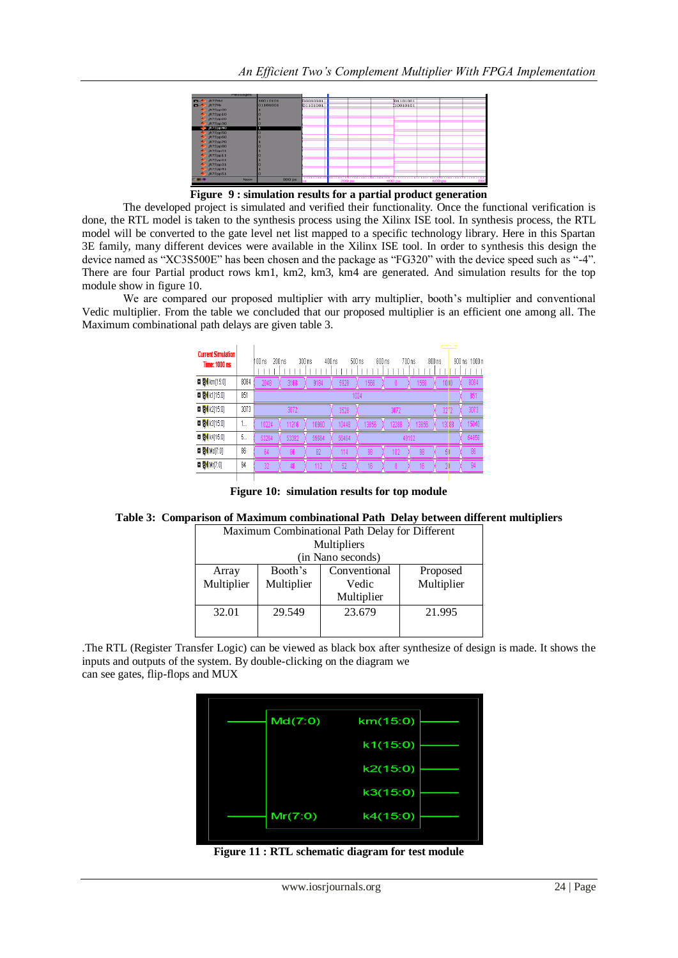

**Figure 9 : simulation results for a partial product generation**

The developed project is simulated and verified their functionality. Once the functional verification is done, the RTL model is taken to the synthesis process using the Xilinx ISE tool. In synthesis process, the RTL model will be converted to the gate level net list mapped to a specific technology library. Here in this Spartan 3E family, many different devices were available in the Xilinx ISE tool. In order to synthesis this design the device named as "XC3S500E" has been chosen and the package as "FG320" with the device speed such as "-4". There are four Partial product rows km1, km2, km3, km4 are generated. And simulation results for the top module show in figure 10.

We are compared our proposed multiplier with arry multiplier, booth's multiplier and conventional Vedic multiplier. From the table we concluded that our proposed multiplier is an efficient one among all. The Maximum combinational path delays are given table 3.

|                                                   |      |       |        |        |        |       |        |                 |        | <b>PARATIO</b> |               |
|---------------------------------------------------|------|-------|--------|--------|--------|-------|--------|-----------------|--------|----------------|---------------|
| <b>Current Simulation</b><br><b>Time: 1000 ns</b> |      | 100ns | 200 ns | 300 ns | 400 ns | 500ns | 600 ns | 700 ns          | 800 ns |                | 900 ns 1000 i |
| <b>■ M</b> km[15:0]                               | 8084 | 2048  | 3168   | 9184   | 5928   | 1568  |        | 1568            |        |                | 8084          |
| <b>■ M</b> k1[15:0]                               | 851  |       | 1024   |        |        |       |        |                 |        | 851            |               |
| <b>■ 64</b> k2[15:0]                              | 3073 |       | 3072   |        | 3528   |       | 3072   |                 |        |                | 3073          |
| <b>■ 64</b> k3[15:0]                              | 1    | 10224 | 11216  | 10960  | 10448  | 13856 | 12288  | 13856           | 13088  |                | 15040         |
| <b>□ 54</b> k4[15:0]                              | 5    | 53264 | 53392  | 59664  | 56464  |       |        | 49152           |        |                | 54656         |
| <b>□ 54</b> Md[7:0]                               | 86   | 64    | 66     | 82     | 114    | 98    | 102    | 98              |        |                | 86            |
| <b>□ 54</b> Mr[7:0]                               | 94   | 32    | 48     | 112    | 52     | 16    |        | 16 <sup>1</sup> |        |                | 94            |
|                                                   |      |       |        |        |        |       |        |                 |        |                |               |

**Figure 10: simulation results for top module**

# **Table 3: Comparison of Maximum combinational Path Delay between different multipliers**

| Maximum Combinational Path Delay for Different |            |              |            |  |  |  |  |  |  |  |  |
|------------------------------------------------|------------|--------------|------------|--|--|--|--|--|--|--|--|
| Multipliers                                    |            |              |            |  |  |  |  |  |  |  |  |
| (in Nano seconds)                              |            |              |            |  |  |  |  |  |  |  |  |
| Array                                          | Booth's    | Conventional | Proposed   |  |  |  |  |  |  |  |  |
| Multiplier                                     | Multiplier | Vedic        | Multiplier |  |  |  |  |  |  |  |  |
|                                                |            | Multiplier   |            |  |  |  |  |  |  |  |  |
| 32.01                                          | 29.549     | 23.679       | 21.995     |  |  |  |  |  |  |  |  |
|                                                |            |              |            |  |  |  |  |  |  |  |  |
|                                                |            |              |            |  |  |  |  |  |  |  |  |

.The RTL (Register Transfer Logic) can be viewed as black box after synthesize of design is made. It shows the inputs and outputs of the system. By double-clicking on the diagram we can see gates, flip-flops and MUX



**Figure 11 : RTL schematic diagram for test module**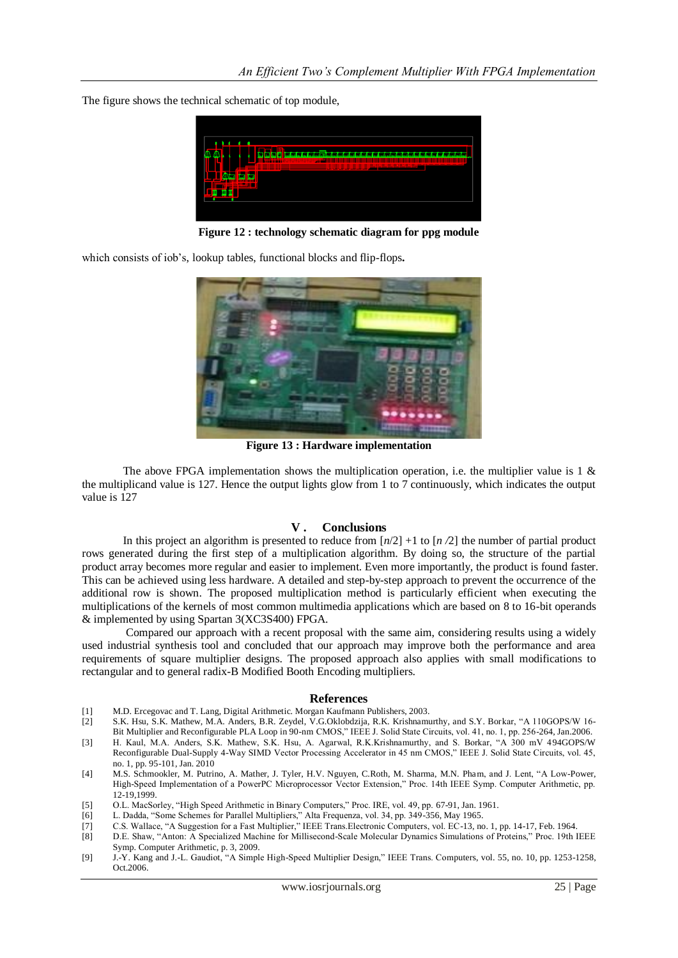The figure shows the technical schematic of top module,



**Figure 12 : technology schematic diagram for ppg module**

which consists of iob's, lookup tables, functional blocks and flip-flops**.**



**Figure 13 : Hardware implementation**

The above FPGA implementation shows the multiplication operation, i.e. the multiplier value is 1  $\&$ the multiplicand value is 127. Hence the output lights glow from 1 to 7 continuously, which indicates the output value is 127

## **V . Conclusions**

In this project an algorithm is presented to reduce from  $[n/2] +1$  to  $[n/2]$  the number of partial product rows generated during the first step of a multiplication algorithm. By doing so, the structure of the partial product array becomes more regular and easier to implement. Even more importantly, the product is found faster. This can be achieved using less hardware. A detailed and step-by-step approach to prevent the occurrence of the additional row is shown. The proposed multiplication method is particularly efficient when executing the multiplications of the kernels of most common multimedia applications which are based on 8 to 16-bit operands & implemented by using Spartan 3(XC3S400) FPGA.

Compared our approach with a recent proposal with the same aim, considering results using a widely used industrial synthesis tool and concluded that our approach may improve both the performance and area requirements of square multiplier designs. The proposed approach also applies with small modifications to rectangular and to general radix-B Modified Booth Encoding multipliers.

#### **References**

- [1] M.D. Ercegovac and T. Lang, Digital Arithmetic. Morgan Kaufmann Publishers, 2003.
- [2] S.K. Hsu, S.K. Mathew, M.A. Anders, B.R. Zeydel, V.G.Oklobdzija, R.K. Krishnamurthy, and S.Y. Borkar, "A 110GOPS/W 16- Bit Multiplier and Reconfigurable PLA Loop in 90-nm CMOS," IEEE J. Solid State Circuits, vol. 41, no. 1, pp. 256-264, Jan.2006.
- [3] H. Kaul, M.A. Anders, S.K. Mathew, S.K. Hsu, A. Agarwal, R.K.Krishnamurthy, and S. Borkar, "A 300 mV 494GOPS/W Reconfigurable Dual-Supply 4-Way SIMD Vector Processing Accelerator in 45 nm CMOS," IEEE J. Solid State Circuits, vol. 45, no. 1, pp. 95-101, Jan. 2010
- [4] M.S. Schmookler, M. Putrino, A. Mather, J. Tyler, H.V. Nguyen, C.Roth, M. Sharma, M.N. Pham, and J. Lent, "A Low-Power, High-Speed Implementation of a PowerPC Microprocessor Vector Extension," Proc. 14th IEEE Symp. Computer Arithmetic, pp. 12-19,1999.
- [5] O.L. MacSorley, "High Speed Arithmetic in Binary Computers," Proc. IRE, vol. 49, pp. 67-91, Jan. 1961.
- [6] L. Dadda, "Some Schemes for Parallel Multipliers," Alta Frequenza, vol. 34, pp. 349-356, May 1965.
- [7] C.S. Wallace, "A Suggestion for a Fast Multiplier," IEEE Trans.Electronic Computers, vol. EC-13, no. 1, pp. 14-17, Feb. 1964.
- [8] D.E. Shaw, "Anton: A Specialized Machine for Millisecond-Scale Molecular Dynamics Simulations of Proteins," Proc. 19th IEEE Symp. Computer Arithmetic, p. 3, 2009.
- [9] J.-Y. Kang and J.-L. Gaudiot, "A Simple High-Speed Multiplier Design," IEEE Trans. Computers, vol. 55, no. 10, pp. 1253-1258, Oct.2006.